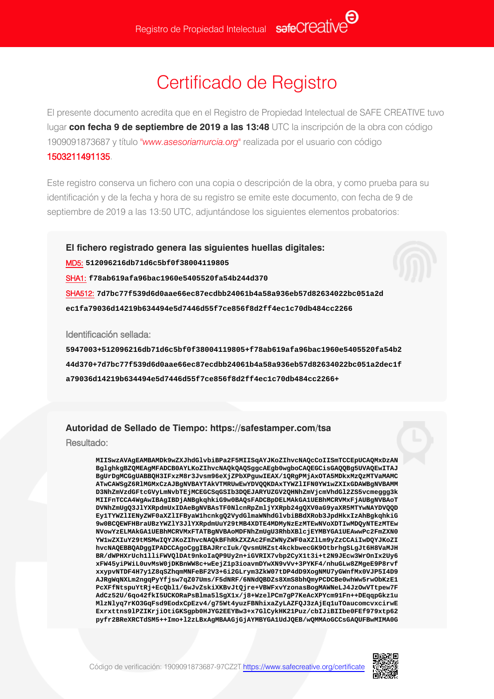## Certificado de Registro

El presente documento acredita que en el Registro de Propiedad Intelectual de SAFE CREATIVE tuvo lugar **con fecha 9 de septiembre de 2019 a las 13:48** UTC la inscripción de la obra con código 1909091873687 y título *"www.asesoriamurcia.org"* realizada por el usuario con código 1503211491135.

Este registro conserva un fichero con una copia o descripción de la obra, y como prueba para su identificación y de la fecha y hora de su registro se emite este documento, con fecha de 9 de septiembre de 2019 a las 13:50 UTC, adjuntándose los siguientes elementos probatorios:

**El fichero registrado genera las siguientes huellas digitales:** MD5: **512096216db71d6c5bf0f38004119805** SHA1: **f78ab619afa96bac1960e5405520fa54b244d370** SHA512: **7d7bc77f539d6d0aae66ec87ecdbb24061b4a58a936eb57d82634022bc051a2d ec1fa79036d14219b634494e5d7446d55f7ce856f8d2ff4ec1c70db484cc2266**

Identificación sellada:

**5947003+512096216db71d6c5bf0f38004119805+f78ab619afa96bac1960e5405520fa54b2 44d370+7d7bc77f539d6d0aae66ec87ecdbb24061b4a58a936eb57d82634022bc051a2dec1f a79036d14219b634494e5d7446d55f7ce856f8d2ff4ec1c70db484cc2266+**

## **Autoridad de Sellado de Tiempo: https://safestamper.com/tsa**

Resultado:

**MIISwzAVAgEAMBAMDk9wZXJhdGlvbiBPa2F5MIISqAYJKoZIhvcNAQcCoIISmTCCEpUCAQMxDzAN BglghkgBZQMEAgMFADCB0AYLKoZIhvcNAQkQAQSggcAEgb0wgboCAQEGCisGAQQBg5UVAQEwITAJ BgUrDgMCGgUABBQH3IFxzM8r3Jvsm96eXjZPbXPguwIEAX/1QRgPMjAxOTA5MDkxMzQzMTVaMAMC ATwCAWSgZ6RlMGMxCzAJBgNVBAYTAkVTMRUwEwYDVQQKDAxTYWZlIFN0YW1wZXIxGDAWBgNVBAMM D3NhZmVzdGFtcGVyLmNvbTEjMCEGCSqGSIb3DQEJARYUZGV2QHNhZmVjcmVhdGl2ZS5vcmeggg3k MIIFnTCCA4WgAwIBAgIBDjANBgkqhkiG9w0BAQsFADCBpDELMAkGA1UEBhMCRVMxFjAUBgNVBAoT DVNhZmUgQ3JlYXRpdmUxIDAeBgNVBAsTF0NlcnRpZmljYXRpb24gQXV0aG9yaXR5MTYwNAYDVQQD Ey1TYWZlIENyZWF0aXZlIFByaW1hcnkgQ2VydGlmaWNhdGlvbiBBdXRob3JpdHkxIzAhBgkqhkiG 9w0BCQEWFHBraUBzYWZlY3JlYXRpdmUuY29tMB4XDTE4MDMyNzEzMTEwNVoXDTIwMDQyNTEzMTEw NVowYzELMAkGA1UEBhMCRVMxFTATBgNVBAoMDFNhZmUgU3RhbXBlcjEYMBYGA1UEAwwPc2FmZXN0 YW1wZXIuY29tMSMwIQYJKoZIhvcNAQkBFhRkZXZAc2FmZWNyZWF0aXZlLm9yZzCCAiIwDQYJKoZI hvcNAQEBBQADggIPADCCAgoCggIBAJRrcIuk/QvsmUHZst4kckbwecGK9OtbrhgSLgJt6H8VaMJH BR/dWPHXrUch1lliFWVQlDAt9nkoIaQP9Uy2n+iGVRIX7vbp2CyX1t3i+t2N9JEcw3WrOnIx2Uy6 xFW45yiPWiL0uvMsW0jDKBnWW8c+wEejZ1p3ioavmDYwXN9vVv+3PYKF4/nhuGLw8ZMgeE9P8rvf xxypvNTDF4H7y1Z8qSZhqmMNFeBF2V3+6i2GLrym3ZkW07tDP4dD9XogNMU7yGWnfMx0VJP5I4D9 AJRgWqNXLm2ngqPyYfjsw7qZ07Ums/F5dNRF/6NNdQBDZs8XmS8bhQmyPCDCBe0whWw5rwObKzE1 PcXFfNtspuYtRj+EcQbl1/6wJvZskiXKBvJtQjre+VBWFxvYzonasBogMAWNeLJ4JzOwVTtpew7F AdCz52U/6qo42fkI5UCKORaPsBlma5lSgX1x/j8+WzelPCm7gP7KeAcXPYcm91Fn++DEqqpGkz1u MlzNlyq7rKO3GqFsd9EodxCpEzv4/g75Wt4yuzFBNhixaZyLAZFQJ3zAjEq1uTOaucomcvxcirwE Exrxttns9lPZIKrjiOtiGKSgpb0HJYG2EEYBw3+x7GlCykHK21Puz/cbIJiBIIbe0FEf979xtp62 pyfr2BReXRCTdSM5++Imo+l2zLBxAgMBAAGjGjAYMBYGA1UdJQEB/wQMMAoGCCsGAQUFBwMIMA0G**

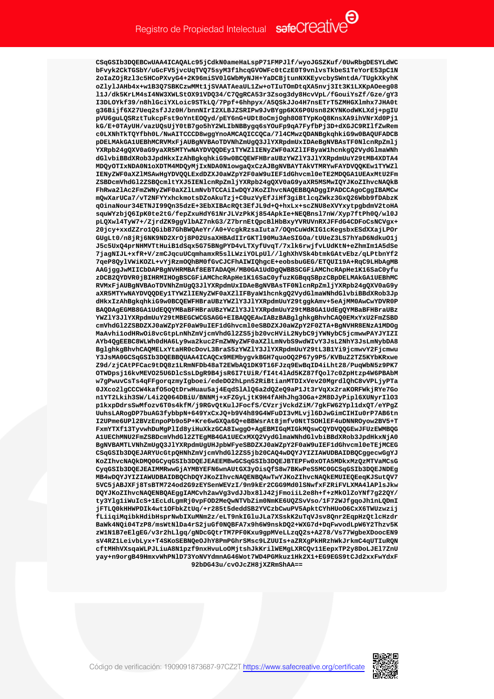CSqGSIb3DQEBCwUAA4ICAQALc95jCdkN0ameHaLspP71FMPJ1f/wyoJGSZKuf/0UwRbgDESYLdWC bFvyk2CkTGSbY/uGcFV5jvcUqTV075syM3f1hcqGVOWFc0tCzE0T9vnlvsTkbeS1TeYorE53pC1N 2oIaZOjRzl3c5HCoPXvyG4+2K96miSV0lGWbMyNJH+YaDCBjtunNXKEyvcbySWntdA/TUgkXkyhK oZlylJAHb4x+w1B3Q7SBKCzwMMt1jSVAATAeaUL1Zw+oTIuTOmDtqXA5nvj3It3K1LXKpAOeeg08 11J/dk5KrLM4sI4NW3XWLStOX91VDQ34/C7QgRCA53r3Zsog3dy8HcvVpL/fGouiYsZf/Gze/gY3 I3DLOYkf39/n8hlGciYXLoic9STkLQ/7Ppf+6hhpyx/A5QSkJJo4H7nsETrT5ZMHGXlmhx7JHA0t g36Bijf6X27Ueq2sfJJz0H/bnnNIrI2XLBJZSRIPw9JvBYgp6KX6P0Usn82KYNKodWKLXdj+pgIU pVU6guLQSRztTukcpFst9oYntEOQyd/pEY6nG+UDt8oCmjOgh8O8TYpKoQ8KnsXA9ihVNrXd0Pj1 kG/E+0TAvUH/vazUQsUjY0tB7qo5hY2WLIbNBByqq6sYQuFp9qA7FvfbPj3D+dXGJC9RT1fZwRem c0LXNhTkTQYfbh0L/NwAITCCCD8wggYnoAMCAQICCQCa/714CMwzQDANBgkqhkiG9w0BAQUFADCB pDELMAkGA1UEBhMCRVMxFjAUBqNVBAoTDVNhZmUqQ3J1YXRpdmUxIDAeBqNVBAsTF0N1cnRpZmlj YXRpb24gQXV0aG9yaXR5MTYwNAYDVQQDEy1TYWZ1IENyZWF0aXZ1IFByaW1hcnkgQ2VydGlmaWNh dGlvbiBBdXRob3JpdHkxIzAhBgkqhkiG9w0BCQEWFHBraUBzYWZlY3JlYXRpdmUuY29tMB4XDTA4 MDOVOTIxNDA0N1oXDTM4MDOVMjIxNDA0N1owgaOxCzAJBqNVBAYTAkVTMRYwFAYDVOOKEw1TYWZ1 IENyZWF0aXZ1MSAwHgYDVQQLExdDZXJ0aWZpY2F0aW9uIEF1dGhvcml0eTE2MDQGA1UEAxMtU2Fm ZSBDcmVhdGl2ZSBOcmltYXJ5IENlcnRpZmljYXRpb24qOXV0aG9vaXR5MSMwIOYJKoZIhvcNAOkB FhRwa2lAc2FmZWNyZWF0aXZlLmNvbTCCAiIwDQYJKoZIhvcNAQEBBQADggIPADCCAgoCggIBAMCw mQwXarUCa7/vT2NFYYxhckmotsDZoAkuTzj+C0uzVyEfJiHf3giBtlcqZWkz3GxQ26Wbb9fDAbzK qOinaNour34ETNJI99Qn35dzE+3EbXIBAcRQt3EfJL9d+Q+hxLx+scZNU8eXVYxytpqbdmV2toHA squWYzbjQ6IpK0te2tG/fepZxuHdY61NrJLVzPkKj854ApkIe+NEQBns17nW/Xyp7ftPh0Q/w10J pLQXwl4TyW7+/ZjrdZK9ggVlbAZ7nkG3/Z7brnEtQpcBlHbBxyYVRUVnRXJFFdG4CDFoCsNCVgx+ 20jcy+xxdZZro1QGibB7GhBWQAeYr/A0+VcgkRzsaIuta7/OQnCuWdKIG1cKegsbxESdXXajLPOr GUgLt0/n8jRj6NK9ND2XrOj8P02UsaXHBAdIIrGKT190Mu3AeSIGOa/tUUeZ3LS7hYaD6NdkuO1j J5c5UxQ4prNHMVTtHuiB1dSqx5G75BNgPYD4vLTXyfUvqT/7xlk6rwjfvLUdKtN+eZhmIm1A5dSe 7jagNIJL+xfR+V/zmCJqcuUCqmhamxR5slLWziYOLpUl//lghXhVSk4btmkGAtvEbz/qLPtbnYf2 7qeP8QylVWiKOZL+vYjRzmOQhBM0fGvCJCFhAIWIQhqcE+eobsbuGEG/ETQUI19A+RqC9LHbAqMB AAGjggJwMIICbDAPBgNVHRMBAf8EBTADAQH/MB0GA1UdDgQWBBSCGFiAMChcRApHe1K16SaC0yfu zDCB2QYDVR0jBIHRMIHOgBSCGFiAMChcRApHe1K16SaC0yfuzKGBqqSBpzCBpDELMAkGA1UEBhMC RVMxFjAUBgNVBAoTDVNhZmUgQ3JlYXRpdmUxIDAeBgNVBAsTF0NlcnRpZmljYXRpb24gQXV0aG9y aXR5MTYwNAYDVQQDEy1TYWZ1IENyZWF0aXZ1IFByaW1hcnkgQ2VydGlmaWNhdGlvbiBBdXRob3Jp dHkxIzAhBgkqhkiG9w0BCQEWFHBraUBzYWZ1Y3J1YXRpdmUuY29tggkAmv+5eAjMM0AwCwYDVR0P BAQDAGEGMB8GA1UdEQQYMBaBFHBraUBzYWZ1Y3J1YXRpdmUuY29tMB8GA1UdEgQYMBaBFHBraUBz YWZ1Y3J1YXRpdmUuY29tMBEGCWCGSAGG+EIBAOOEAwIABzBABq1qhkqBhvhCAO0EMxYxU2FmZSBD cmVhdGl2ZSBDZXJ0aWZpY2F0aW9uIEF1dGhvcml0eSBDZXJ0aWZpY2F0ZTA+BgNVHR8ENzA1MDOg MaAvhilodHRwOi8vcGtpLnNhZmVjcmVhdGl2ZS5jb20vcHViL2NvbC9jYWNvbC5jcmwwPAYJYIZI AYb4QgEEBC8WLWh0dHA6Ly9wa2kuc2FmZWNyZWF0aXZlLmNvbS9wdWIvY3JsL2NhY3JsLmNybDA8 BglghkgBhvhCAQMELxYtaHR0cDovL3BraS5zYWZlY3JlYXRpdmUuY29tL3B1Yi9jcmwvY2Fjcmwu Y3JsMA0GCSqGSIb3DQEBBQUAA4ICAQCx9MEMbygvkBGH7quoOQ2P67y9P5/KVBuZ2TZ5KYbKRxwe Z9d/zjCAtPFCac9tDQ8z1LRmNFDb48aT2EWbAQ1DK9T16FJzq9EwBqID4iLht28/PuqWbN5z9PK7 OTWDpsil6kvMEVO25U6DlcSsLDqR9B4isR6I7tUiR/fI4t4lAd5KZ87fOol7c0ZpHtzp4W6PBAbM w7gPwuvCsTs4qFFgorqzmyIgboei/edeDO2hLpn52RiBtianMTDIxVev20MgrdlQhC8vVPLjyPTa 0JXco2lgCCCW4kaf05o0tDrwHuau5ai4EgdSlAl06a2d0Ze09aP1Jt3rVgXx2raKORFWkiRYe7Go n1YT2Lkih3SW/L4i2Q064DBiU/BNNMj+xFZGyLjtK9H4fAHhJhg3OGa+2M8DJyPipl6XUNyrIlO3 plkxpDdrsSwMfozv6T0s4kfM/j9RGvQtKulJFocfS/CVzrjVckdZiM/7gkFW62Ypl1dxQT/eYPgZ UuhsLARogDP7buAG3fybbpN+649YxCxJQ+b9V4h89G4WFuDI3vMLvjl6DJwGimCIHIu0rP7AB6tn  ${\tt I2UPme6UPl2BVzEnpoPb9o5P+Kre6wGXQa6Q+eBBWsrAt8jmfv0NtTSOHlEF4uDNNROyow2BV5+T}$ FxmYTXf13TvvwhDuMqPlId8viHuXkzGCA8IwqqO+AqEBMIGqMIGkMOswCOYDVOOGEwJFUzEWMBOG A1UEChMNU2FmZSBDcmVhdGl2ZTEgMB4GA1UECxMXQ2VydGlmaWNhdGlvbiBBdXRob3JpdHkxNjA0 BqNVBAMTLVNhZmUqO3JlYXRpdmUqUHJpbWFyeSBDZXJ0aWZpY2F0aW9uIEF1dGhvcml0eTEjMCEG CSqGSIb3DOEJARYUcGtpOHNhZmVicmVhdGl2ZS5ib20CAO4wDOYJYIZIAWUDBAIDBOCqqecwGqYJ KoZIhvcNAQkDMQ0GCyqGSIb3DQEJEAEEMBwGCSqGSIb3DQEJBTEPFw0xOTA5MDkxMzQzMTVaMCsG CyqGSIb3DQEJEAIMMRwwGjAYMBYEFN6wnAUtGX3yOisQfS8w7BKwPeS5MC0GCSqGSIb3DQEJNDEq MB4wDQYJYIZIAWUDBAIDBQChDQYJKoZIhvcNAQENBQAwTwYJKoZIhvcNAQkEMUIEQEeqKJSutQV7 5VC5jABJXFj8TsBTM724od2G9zEYSenWEVzI/9n9kEr2CGG9Md01SNwfxFZRiFVLXMA41APlsJkw DQYJKoZIhvcNAQENBQAEggIAMCvh2awVg3vdJJbx81J42jFmoiiL2e8h+f+zMkOlZoYNf7g22QY/ ty3Ylg1iWuIcS+1EcLdLgmRj0vpFOD2MeQwNTVbZim0NmKE6UQZSvVso/1F72WJfgqoJh1nLQDmI jFTLQ0kHHWPDIk4wt1OFbkZtUq/+r285t5deddSB2YVCzbCwuPV5ApktCYhHUoO6CxX6TWUzwzij fLiiqiMqibkHdibHsprNwbIXuMNm2z/eLT9nkIGluJLa7XSskK2uTqVJsv8Qnr2EqpHzQtlcHzdr BaWk4NQi04TzP8/msWtNlDa4rS2juGf0NQBFA7x9h6W9nskDQ2+WXG7d+DqFwvodLpW6Y2Thzv5K zW1N1B7eElgEG/v3r2hLlgq/gNDcGQtrTM7PF0Kxu9gpMVeLLzqQ2s+A278/Vs77WgbeXDoocEN9 sV4RZ1LeivbLyx+T4SKoSEBNQeOJhY8PmPGhrSMsc9LZUUIs+aZRXgPkHRzhWkJrkmC4qUTIuRQN cftMHhVXsqaWLPJLiuA8N1pzf9nxHvuLoOMjtshJkKrilWEMgLXRCQv11EepxTP2y8DoLJE17ZnU yay+n9orgB49HmxvWhPNlD73YoNVYdmnAG46Wot7WD4PGMkuz1Hk2X1+EG9EGS9tCJd2xxFwYdxF 92bDG43u/cvOJcZH8jXZRmShAA ==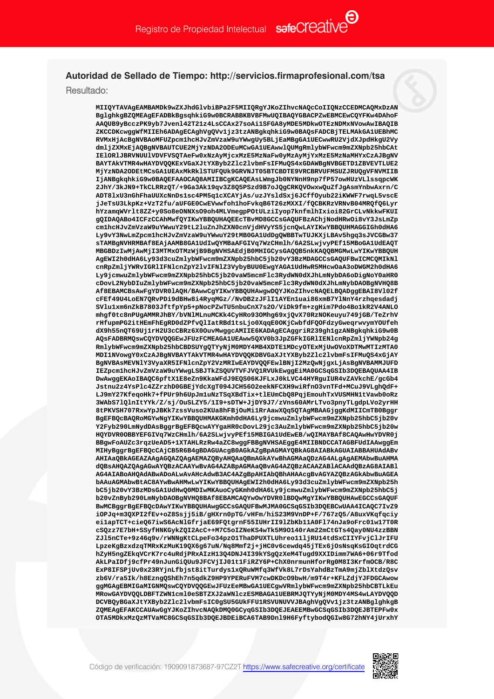## Autoridad de Sellado de Tiempo: http://servicios.firmaprofesional.com/tsa

Resultado:

MIIOYTAVAGEAMBAMDk9wZXJhdGlvbiBPa2F5MIIORGYJKoZIhvcNAOcCoIIONzCCEDMCAOMxDzAN BglghkgBZQMEAgEFADBkBgsqhkiG9w0BCRABBKBVBFMwUQIBAQYGBACPZwEBMCEwCQYFKw4DAhoF AAQUB9yBcczPK9yb7Jven142T21z4LsCCAx27soAi1SFGA8yMDE5MDkwOTEzNDMxNVowAwIBAQIB  ${\tt ZKCCDKcwggWfMIIEh6ADAgECAghVgQVv1jz3tzANBgkqhkiG9w0BAQsFADCBjTELMAkGA1UEBhMC}$ RVMxHjAcBgNVBAoMFUZpcmlhcHJvZmVzaW9uYWwgUy5BLjEaMBgGA1UECwwRU2VjdXJpdHkgU2Vy dmljZXMxEjAQBgNVBAUTCUE2MjYzNDA2ODEuMCwGA1UEAwwlQUMgRmlybWFwcm9mZXNpb25hbCAt IElORlJBRVNUUlVDVFVSQTAeFw0xNzAyMjcxMzE5MzNaFw0yMzAyMjYxMzE5MzNaMHYxCzAJBgNV BAYTAkVTMR4wHAYDVQQKExVGaXJtYXByb2Z1c21vbmFsIFMuQS4xGDAWBgNVBGETD1ZBVEVTLUE2 MjYzNDA2ODEtMCsGA1UEAxMkRk1STUFQUk9GRVNJT05BTCBDTE9VRCBRVUFMSUZJRUQgVFNVMIIB IjANBqkqhkiG9w0BAQEFAAOCAQ8AMIIBCqKCAQEAsLWmqJb0NYNnH9np7fP57owHUzVLlssqpcWK 2JhY/3kJN9+TkCLRRzQT/+9Ga3Ak19qv3Z8Q5PSzd9B7oJQgCRKQVOwxwQuZfJgAsmYnbwAxrn/C ADT81xU3nGhFhaUUXcNnDs1sc4PM5q1cXCAYjAs/uzJYs1dSxj6JCffOyub22iKWWF7rwqL5vscE jJeTsU3LkpKz+VzT2fu/aUFGE0CwEVwwfohlhoFvkqB6T26zMXXI/fOCBKRzVRNvB04MROfO6Lvr hYzamqWVrlt8ZZ+y0So8eONNXsO9oh4MLVmegpPOtULziIyop7knfmlhIxioi82GrCLvNkkwFKUI gQIDAQABo4ICFzCCAhMwfQYIKwYBBQUHAQEEcTBvMD8GCCsGAQUFBzAChjNodHRwOi8vY3JsLmZp cmlhcHJvZmVzaW9uYWwuY29tL2luZnJhZXN0cnVjdHVyYS5jcnQwLAYIKwYBBQUHMAGGIGh0dHA6 Ly9vY3NwLmZpcm1hcHJvZmVzaW9uYWwuY29tMB0GA1UdDgQWBBTwTUJKXjLBAv5hgq3sJVCGBw37 sTAMBGNVHRMBAf8EAjAAMB8GA1UdIwOYMBaAFGIVG7WzCHmlh/6A2SLwjvvPEf15MBoGA1UdEAOT MBGBDzIwMjAwMjI3MTMxOTMzWjB9BgNVHSAEdjB0MHIGCysGAQQB5nkKAQQBMGMwLwYIKwYBBQUH AgEWI2h0dHA6Ly93d3cuZmlybWFwcm9mZXNpb25hbC5jb20vY3BzMDAGCCsGAQUFBwICMCQMIkNl cnRpZmljYWRvIGRlIFNlcnZpY2lvIFNlZ3VybyBUU0EwgYAGA1UdHwR5MHcwOaA3oDWGM2h0dHA6 Ly9jcmwuZmlybWFwcm9mZXNpb25hbC5jb20vaW5mcmFlc3RydWN0dXJhLmNybDA6oDiqNoY0aHR0 cDovL2NybDIuZmlybWFwcm9mZXNpb25hbC5jb20vaW5mcmFlc3RydWN0dXJhLmNybDAOBgNVHQ8B Af8EBAMCBsAwFgYDVR0lAQH/BAwwCgYIKwYBBQUHAwgwDQYJKoZIhvcNAQELBQADggEBAI8V102f cFEf49U4LoEN7QRvPDi9dBHw8i4RyqMGz//NvDB2zJFlI1AYEn1uai86xmB7YlNnY4rzhqesdadj SVlu1xm6nZkB7803JftfpYp5+pNocPZwTU5nbuCnX7s20/ViDk9fm+zgHim7Pdo4Bo1kR2V4ANLO mhqf0tc8nPUqAMMRJhBY/bVNlMLnuMCKk4CyHRo930Mhq69xjOvX70RzNOKeuyu749jGB/TeZrhV rHfupmPG2itHEmFhEgRD0dZPfvQlIatRBd1tsLjo0XqqE0OKjCwbfdFQOFdzyGweqrwvymYOUfeh dX9h55nQT69Uj1rH2U3cCBRz6X0OuvMwggcAMIIE6KADAgECAggriR239gh1gzANBgkqhkiG9w0B AQSFADBRMQSwCQYDVQQGEwJFUzFCMEAGA1UEAww5QXV0b3JpZGFkIGRlIENlcnRpZmljYWNpb24g RmlybWFwcm9mZXNpb25hbCBDSUYgQTYyNjM0MDY4MB4XDTE1MDcyOTExMjUwOVoXDTMwMTIzMTA0 MDI1NVowgY0xCzAJBgNVBAYTAkVTMR4wHAYDVQQKDBVGaXJtYXByb2Z1c21vbmFsIFMuQS4xGjAY BgNVBAsMEVNlY3VyaXR5IFNlcnZpY2VzMRIwEAYDVQQFEwlBNjI2MzQwNjgxLjAsBgNVBAMMJUFD IEZpcm1hcHJvZmVzaW9uYWwqLSBJTkZSQUVTVFJVQ1RVUkEwqqEiMA0GCSqGSIb3DQEBAQUAA4IB DwAwggEKAoIBAQC6pftX1E8eZn9KkaWFdJ9EQS06KJFLxJ0kLVC44HYRguIUR4vZAVkchE/gcGb4 Jstnu2z4YsPlc4ZZrzhD0GBEjYdcXgT094JCH56O2eekNFCXH9wiRfnO3vnTFd+MCuJ9VLghQdF+ LJ9mY27KfeqoHk7+fPUr9h6UpJm1uNzTSqXBdTix+t1EUmCbQ8PqjEmouhTxVUSMHN1tVawb0oRz 3WAbS71QlnItYYk/Z/sj/OuSLZY5/1I9+sDTW+JjDY9J7/zVns60AMrLTvo3pnyTLgdpLVo2yrHH 8tPKVSH707RxwYpJBKk7zssVuso2KUa8hFBjOuMi1RrAawXQq5QTAqMBAAGjqqKdMIICmTB0Bqqr BgEFBQcBAQRoMGYwNgYIKwYBBQUHMAKGKmh0dHA6Ly9jcmwuZmlybWFwcm9mZXNpb25hbC5jb20v Y2Fyb290LmNydDAsBqqrBqEFBQcwAYYqaHR0cDovL29jc3AuZmlybWFwcm9mZXNpb25hbC5jb20w HQYDVR0OBBYEFGIVq7WzCHmlh/6A2SLwjvyPEf15MBIGA1UdEwEB/wQIMAYBAf8CAQAwHwYDVR0j BBgwFoAUZc3rqzUeAD5+1XTAHLRzRw4aZC8wggFBBgNVHSAEggE4MIIBNDCCATAGBFUdIAAwggEm MIHyBggrBgEFBQcCAjCB5R6B4gBDAGUAcgB0AGkAZgBpAGMAYQBkAG8AIABkAGUAIABBAHUAdABv AHIAaQBkAGEAZAAgAGQAZQAgAEMAZQByAHQAaQBmAGkAYwBhAGMAaQDzAG4ALgAgAEMAbwBuAHMA dOBsAHOAZOAgAGwAYOBzACAAYwBvAG4AZABpAGMAaOBvAG4AZOBzACAAZAB1ACAAdOBzAG8AIAB1 AG4AIABoAHQAdABwADoALwAvAHcAdwB3AC4AZgBpAHIAbQBhAHAAcgBvAGYAZQBzAGkAbwBuAGEA bAAuAGMAbwBtAC8AYwBwAHMwLwYIKwYBBQUHAgEWI2h0dHA6Ly93d3cuZmlybWFwcm9mZXNpb25h bC5jb20vY3BzMDsGA1UdHwO0MDIwMKAuoCyGKmh0dHA6Lv9jcmwuZmlybWFwcm9mZXNpb25hbC5j b20vZnByb290LmNybDAOBgNVHQ8BAf8EBAMCAQYwOwYDVR01BDQwMgYIKwYBBQUHAwEGCCsGAQUF BwMCBggrBgEFBOcDAwYIKwYBBOUHAwgGCCsGAOUFBwMJMA0GCSgGSIb3DOEBCwUAA4ICAOC7IvZ9 iOPJq+m3QXPI2fEv+oZ8Ssjj5iB/gHXrn0pTG/vHFm/hiS23M9VnDP+F/767zQ5/A8uxVKqfqciy eilapTCT+cieQ67iwS6AcNlGfrjaE69FQtgrnF55IUHrII9lZbKb11A0Fl74nJa9oFrc01w17T0R cSQzz7E7bH+SSyfHNKGykZQI2AcC++M7C5oIZNeKS4wTk5M90140rAm22mCtGTs4Qay0NU4zzBBN ZJl5nCTe+9z46q9v/rWNNgKtCLpeFo34pzO1ThaDPUXTLUhreo111jRU14tdSxCIIYFvjClJrIFU LpzeKgBzxdzqTMRxKzMuK19QX6q67uN/Nq8Mmf2j+jHC0v6cewdq45jTEx6jOsNsqKsGIOqtrdCG hZyH5ngZEkqVCrK7rc4uRdjPRxAIzH13Q4DNJ4I39kYSgQzXeM4Tugd9XXIDimm7WA6+06r9Tfod AkLPaIDfj9cfPr49nJunGiOUu9JFCVjIJ01t1FiRZY6P+ChX0nrmunHforRq0M8I3KrfmOCB/R8C ExP8IFSPjUv0x23RYjnLfbjst8itTurdys1xQRuWMfq3WfVk8L7rDsYahdBzTmA9mjZblXtdzQsv zb6V/ra5Ik/h8EznqQShEh7n5qdkZ9HP9YPERuFVM7cwDKDcO9bwH/m9T4r+KFLZdjYJFDGCAwow ggMGAgEBMIGaMIGNMQswCQYDVQQGEwJFUzEeMBwGA1UECgwVRmlybWFwcm9mZXNpb25hbCBTLkEu MRowGAYDVQQLDBFTZWN1cml0eSBTZXJ2aWN1czESMBAGA1UEBRMJQTYyNjM0MDY4MS4wLAYDVQQD DCVBQyBGaXJtYXByb2Zlc2lvbmFsIC0gSU5GUkFFU1RSVUNUVVJBAghVgQVv1jz3tzANBg1ghkgB ZQMEAgEFAKCCAUAwGgYJKoZIhvcNAQkDMQ0GCyqGSIb3DQEJEAEEMBwGCSqGSIb3DQEJBTEPFw0x OTA5MDkxMzOzMTVaMC8GCSqGSIb3DOEJBDEiBCA6TAB9Dnl9H6FvftvbodOGIw8G72hNY4jUrxhY